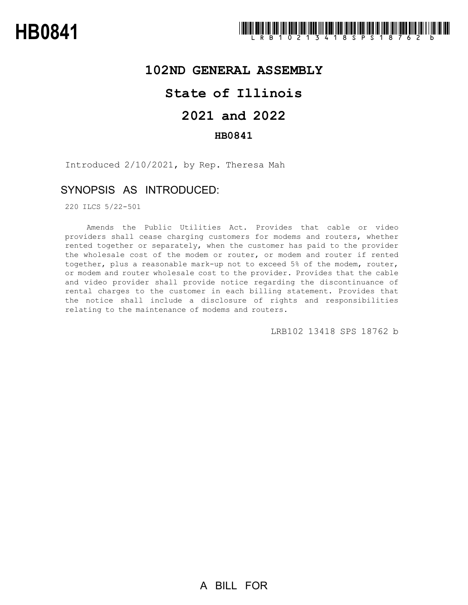### **102ND GENERAL ASSEMBLY**

# **State of Illinois**

# **2021 and 2022**

### **HB0841**

Introduced 2/10/2021, by Rep. Theresa Mah

### SYNOPSIS AS INTRODUCED:

220 ILCS 5/22-501

Amends the Public Utilities Act. Provides that cable or video providers shall cease charging customers for modems and routers, whether rented together or separately, when the customer has paid to the provider the wholesale cost of the modem or router, or modem and router if rented together, plus a reasonable mark-up not to exceed 5% of the modem, router, or modem and router wholesale cost to the provider. Provides that the cable and video provider shall provide notice regarding the discontinuance of rental charges to the customer in each billing statement. Provides that the notice shall include a disclosure of rights and responsibilities relating to the maintenance of modems and routers.

LRB102 13418 SPS 18762 b

A BILL FOR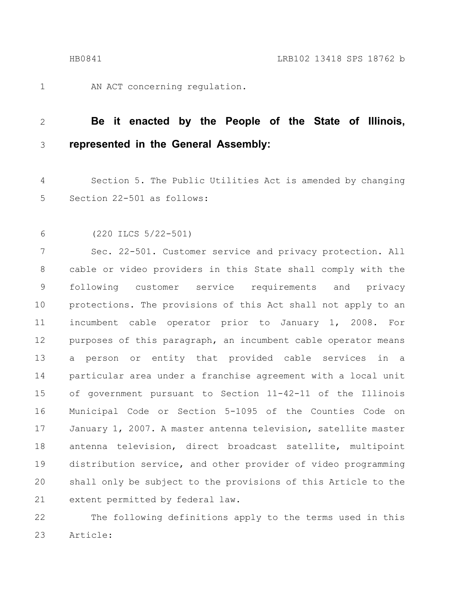1

AN ACT concerning regulation.

#### **Be it enacted by the People of the State of Illinois, represented in the General Assembly:** 2 3

Section 5. The Public Utilities Act is amended by changing Section 22-501 as follows: 4 5

(220 ILCS 5/22-501) 6

Sec. 22-501. Customer service and privacy protection. All cable or video providers in this State shall comply with the following customer service requirements and privacy protections. The provisions of this Act shall not apply to an incumbent cable operator prior to January 1, 2008. For purposes of this paragraph, an incumbent cable operator means a person or entity that provided cable services in a particular area under a franchise agreement with a local unit of government pursuant to Section 11-42-11 of the Illinois Municipal Code or Section 5-1095 of the Counties Code on January 1, 2007. A master antenna television, satellite master antenna television, direct broadcast satellite, multipoint distribution service, and other provider of video programming shall only be subject to the provisions of this Article to the extent permitted by federal law. 7 8 9 10 11 12 13 14 15 16 17 18 19 20 21

The following definitions apply to the terms used in this Article: 22 23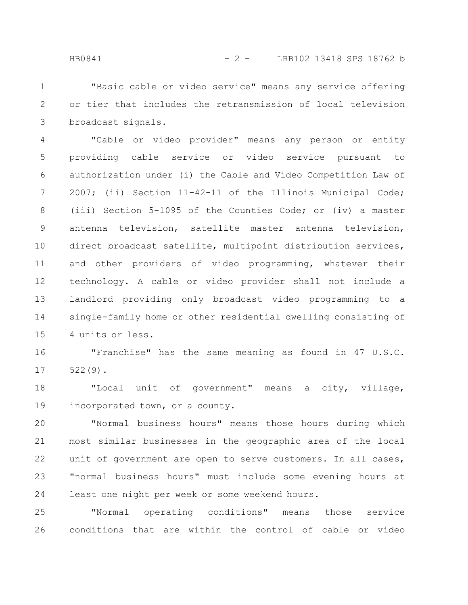"Basic cable or video service" means any service offering or tier that includes the retransmission of local television broadcast signals. 1 2 3

"Cable or video provider" means any person or entity providing cable service or video service pursuant to authorization under (i) the Cable and Video Competition Law of 2007; (ii) Section 11-42-11 of the Illinois Municipal Code; (iii) Section 5-1095 of the Counties Code; or (iv) a master antenna television, satellite master antenna television, direct broadcast satellite, multipoint distribution services, and other providers of video programming, whatever their technology. A cable or video provider shall not include a landlord providing only broadcast video programming to a single-family home or other residential dwelling consisting of 4 units or less. 4 5 6 7 8 9 10 11 12 13 14 15

"Franchise" has the same meaning as found in 47 U.S.C. 522(9). 16 17

"Local unit of government" means a city, village, incorporated town, or a county. 18 19

"Normal business hours" means those hours during which most similar businesses in the geographic area of the local unit of government are open to serve customers. In all cases, "normal business hours" must include some evening hours at least one night per week or some weekend hours. 20 21 22 23 24

"Normal operating conditions" means those service conditions that are within the control of cable or video 25 26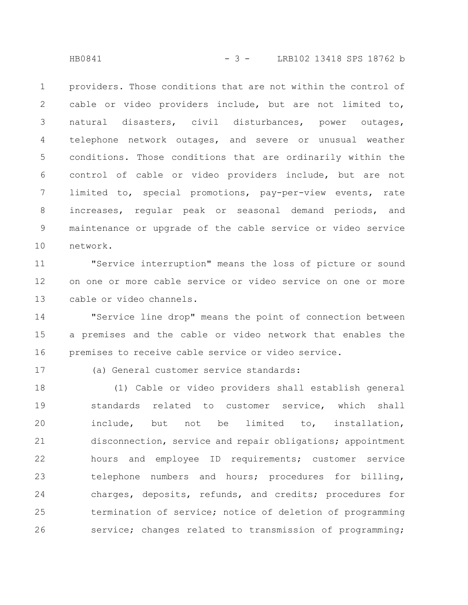providers. Those conditions that are not within the control of cable or video providers include, but are not limited to, natural disasters, civil disturbances, power outages, telephone network outages, and severe or unusual weather conditions. Those conditions that are ordinarily within the control of cable or video providers include, but are not limited to, special promotions, pay-per-view events, rate increases, regular peak or seasonal demand periods, and maintenance or upgrade of the cable service or video service network. 1 2 3 4 5 6 7 8 9 10

"Service interruption" means the loss of picture or sound on one or more cable service or video service on one or more cable or video channels. 11 12 13

"Service line drop" means the point of connection between a premises and the cable or video network that enables the premises to receive cable service or video service. 14 15 16

17

(a) General customer service standards:

(1) Cable or video providers shall establish general standards related to customer service, which shall include, but not be limited to, installation, disconnection, service and repair obligations; appointment hours and employee ID requirements; customer service telephone numbers and hours; procedures for billing, charges, deposits, refunds, and credits; procedures for termination of service; notice of deletion of programming service; changes related to transmission of programming; 18 19 20 21 22 23 24 25 26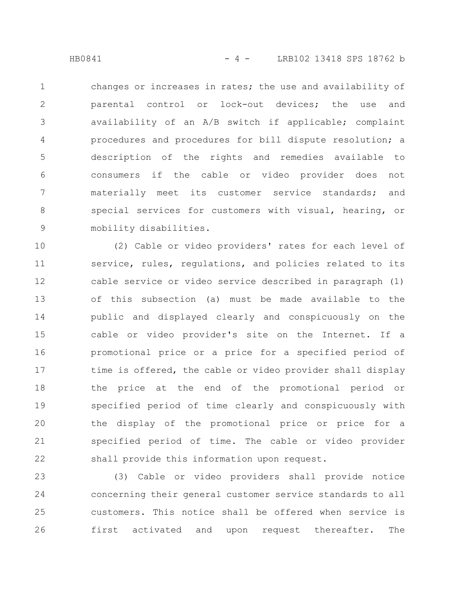changes or increases in rates; the use and availability of parental control or lock-out devices; the use and availability of an A/B switch if applicable; complaint procedures and procedures for bill dispute resolution; a description of the rights and remedies available to consumers if the cable or video provider does not materially meet its customer service standards; and special services for customers with visual, hearing, or mobility disabilities. 1 2 3 4 5 6 7 8 9

(2) Cable or video providers' rates for each level of service, rules, regulations, and policies related to its cable service or video service described in paragraph (1) of this subsection (a) must be made available to the public and displayed clearly and conspicuously on the cable or video provider's site on the Internet. If a promotional price or a price for a specified period of time is offered, the cable or video provider shall display the price at the end of the promotional period or specified period of time clearly and conspicuously with the display of the promotional price or price for a specified period of time. The cable or video provider shall provide this information upon request. 10 11 12 13 14 15 16 17 18 19 20 21 22

(3) Cable or video providers shall provide notice concerning their general customer service standards to all customers. This notice shall be offered when service is first activated and upon request thereafter. The 23 24 25 26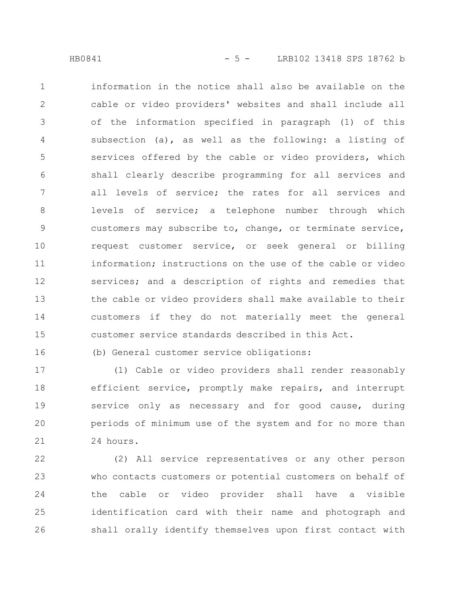information in the notice shall also be available on the cable or video providers' websites and shall include all of the information specified in paragraph (1) of this subsection (a), as well as the following: a listing of services offered by the cable or video providers, which shall clearly describe programming for all services and all levels of service; the rates for all services and levels of service; a telephone number through which customers may subscribe to, change, or terminate service, request customer service, or seek general or billing information; instructions on the use of the cable or video services; and a description of rights and remedies that the cable or video providers shall make available to their customers if they do not materially meet the general customer service standards described in this Act. 1 2 3 4 5 6 7 8 9 10 11 12 13 14 15

16

(b) General customer service obligations:

(1) Cable or video providers shall render reasonably efficient service, promptly make repairs, and interrupt service only as necessary and for good cause, during periods of minimum use of the system and for no more than 24 hours. 17 18 19 20 21

(2) All service representatives or any other person who contacts customers or potential customers on behalf of the cable or video provider shall have a visible identification card with their name and photograph and shall orally identify themselves upon first contact with 22 23 24 25 26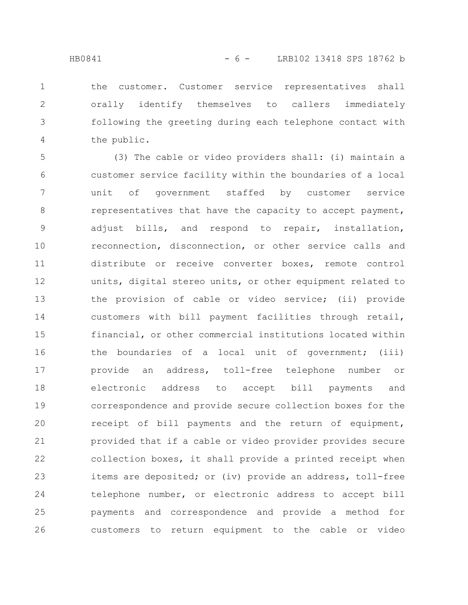1

2

3

4

the customer. Customer service representatives shall orally identify themselves to callers immediately following the greeting during each telephone contact with the public.

(3) The cable or video providers shall: (i) maintain a customer service facility within the boundaries of a local unit of government staffed by customer service representatives that have the capacity to accept payment, adjust bills, and respond to repair, installation, reconnection, disconnection, or other service calls and distribute or receive converter boxes, remote control units, digital stereo units, or other equipment related to the provision of cable or video service; (ii) provide customers with bill payment facilities through retail, financial, or other commercial institutions located within the boundaries of a local unit of government; (iii) provide an address, toll-free telephone number or electronic address to accept bill payments and correspondence and provide secure collection boxes for the receipt of bill payments and the return of equipment, provided that if a cable or video provider provides secure collection boxes, it shall provide a printed receipt when items are deposited; or (iv) provide an address, toll-free telephone number, or electronic address to accept bill payments and correspondence and provide a method for customers to return equipment to the cable or video 5 6 7 8 9 10 11 12 13 14 15 16 17 18 19 20 21 22 23 24 25 26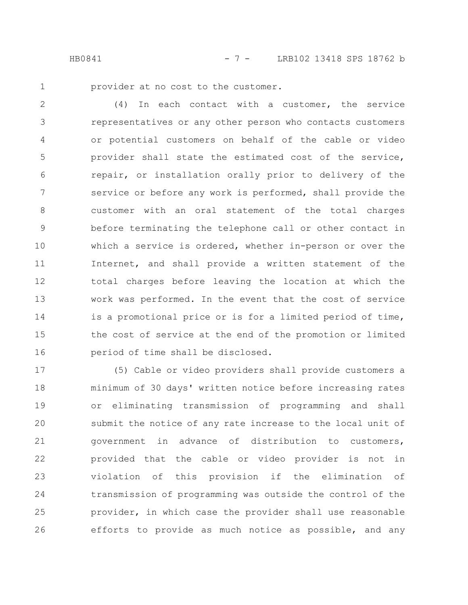HB0841 - 7 - LRB102 13418 SPS 18762 b

1

provider at no cost to the customer.

(4) In each contact with a customer, the service representatives or any other person who contacts customers or potential customers on behalf of the cable or video provider shall state the estimated cost of the service, repair, or installation orally prior to delivery of the service or before any work is performed, shall provide the customer with an oral statement of the total charges before terminating the telephone call or other contact in which a service is ordered, whether in-person or over the Internet, and shall provide a written statement of the total charges before leaving the location at which the work was performed. In the event that the cost of service is a promotional price or is for a limited period of time, the cost of service at the end of the promotion or limited period of time shall be disclosed. 2 3 4 5 6 7 8 9 10 11 12 13 14 15 16

(5) Cable or video providers shall provide customers a minimum of 30 days' written notice before increasing rates or eliminating transmission of programming and shall submit the notice of any rate increase to the local unit of government in advance of distribution to customers, provided that the cable or video provider is not in violation of this provision if the elimination of transmission of programming was outside the control of the provider, in which case the provider shall use reasonable efforts to provide as much notice as possible, and any 17 18 19 20 21 22 23 24 25 26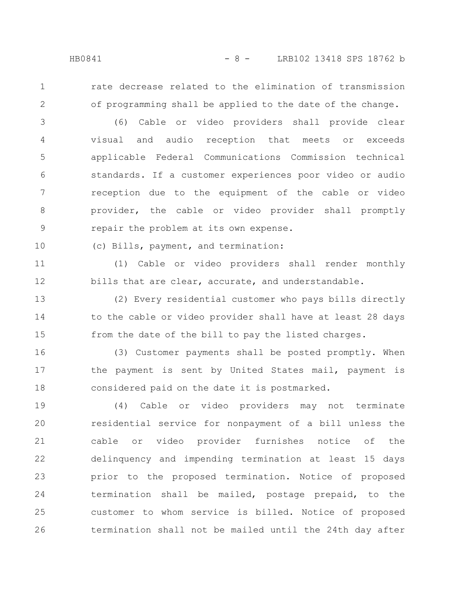1 2 rate decrease related to the elimination of transmission of programming shall be applied to the date of the change.

(6) Cable or video providers shall provide clear visual and audio reception that meets or exceeds applicable Federal Communications Commission technical standards. If a customer experiences poor video or audio reception due to the equipment of the cable or video provider, the cable or video provider shall promptly repair the problem at its own expense. 3 4 5 6 7 8 9

(c) Bills, payment, and termination: 10

(1) Cable or video providers shall render monthly bills that are clear, accurate, and understandable. 11 12

(2) Every residential customer who pays bills directly to the cable or video provider shall have at least 28 days from the date of the bill to pay the listed charges. 13 14 15

(3) Customer payments shall be posted promptly. When the payment is sent by United States mail, payment is considered paid on the date it is postmarked. 16 17 18

(4) Cable or video providers may not terminate residential service for nonpayment of a bill unless the cable or video provider furnishes notice of the delinquency and impending termination at least 15 days prior to the proposed termination. Notice of proposed termination shall be mailed, postage prepaid, to the customer to whom service is billed. Notice of proposed termination shall not be mailed until the 24th day after 19 20 21 22 23 24 25 26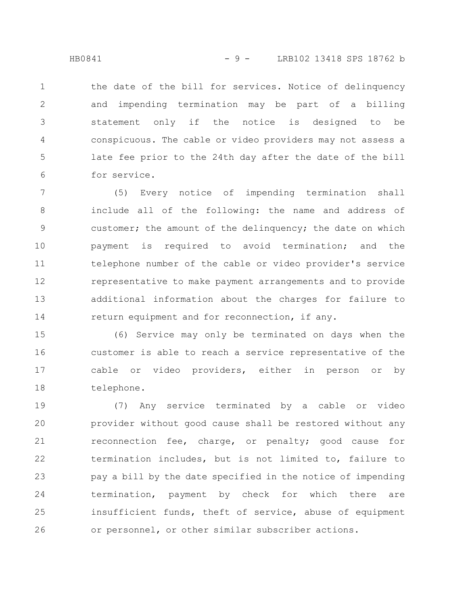the date of the bill for services. Notice of delinquency and impending termination may be part of a billing statement only if the notice is designed to be conspicuous. The cable or video providers may not assess a late fee prior to the 24th day after the date of the bill for service. 1 2 3 4 5 6

(5) Every notice of impending termination shall include all of the following: the name and address of customer; the amount of the delinquency; the date on which payment is required to avoid termination; and the telephone number of the cable or video provider's service representative to make payment arrangements and to provide additional information about the charges for failure to return equipment and for reconnection, if any. 7 8 9 10 11 12 13 14

(6) Service may only be terminated on days when the customer is able to reach a service representative of the cable or video providers, either in person or by telephone. 15 16 17 18

(7) Any service terminated by a cable or video provider without good cause shall be restored without any reconnection fee, charge, or penalty; good cause for termination includes, but is not limited to, failure to pay a bill by the date specified in the notice of impending termination, payment by check for which there are insufficient funds, theft of service, abuse of equipment or personnel, or other similar subscriber actions. 19 20 21 22 23 24 25 26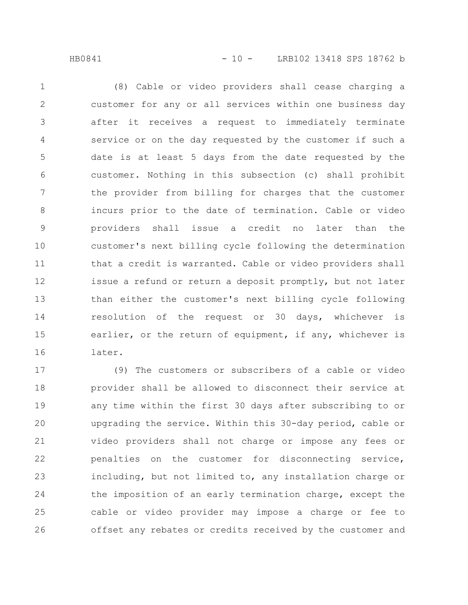HB0841 - 10 - LRB102 13418 SPS 18762 b

(8) Cable or video providers shall cease charging a customer for any or all services within one business day after it receives a request to immediately terminate service or on the day requested by the customer if such a date is at least 5 days from the date requested by the customer. Nothing in this subsection (c) shall prohibit the provider from billing for charges that the customer incurs prior to the date of termination. Cable or video providers shall issue a credit no later than the customer's next billing cycle following the determination that a credit is warranted. Cable or video providers shall issue a refund or return a deposit promptly, but not later than either the customer's next billing cycle following resolution of the request or 30 days, whichever is earlier, or the return of equipment, if any, whichever is later. 1 2 3 4 5 6 7 8 9 10 11 12 13 14 15 16

(9) The customers or subscribers of a cable or video provider shall be allowed to disconnect their service at any time within the first 30 days after subscribing to or upgrading the service. Within this 30-day period, cable or video providers shall not charge or impose any fees or penalties on the customer for disconnecting service, including, but not limited to, any installation charge or the imposition of an early termination charge, except the cable or video provider may impose a charge or fee to offset any rebates or credits received by the customer and 17 18 19 20 21 22 23 24 25 26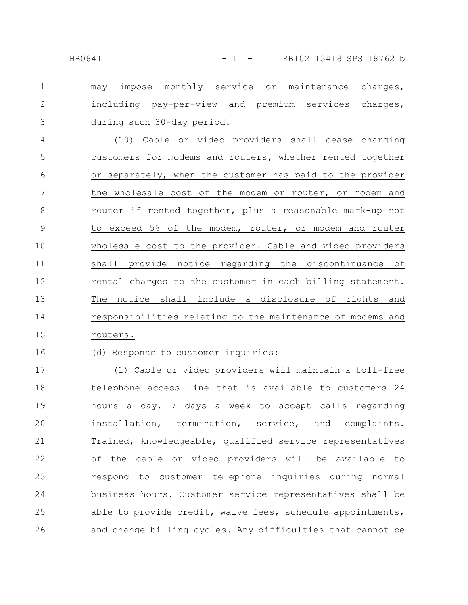may impose monthly service or maintenance charges, including pay-per-view and premium services charges, during such 30-day period. 1 2 3

(10) Cable or video providers shall cease charging customers for modems and routers, whether rented together or separately, when the customer has paid to the provider the wholesale cost of the modem or router, or modem and router if rented together, plus a reasonable mark-up not to exceed 5% of the modem, router, or modem and router wholesale cost to the provider. Cable and video providers shall provide notice regarding the discontinuance of rental charges to the customer in each billing statement. The notice shall include a disclosure of rights and responsibilities relating to the maintenance of modems and routers. 4 5 6 7 8 9 10 11 12 13 14 15

### 16

(d) Response to customer inquiries:

(1) Cable or video providers will maintain a toll-free telephone access line that is available to customers 24 hours a day, 7 days a week to accept calls regarding installation, termination, service, and complaints. Trained, knowledgeable, qualified service representatives of the cable or video providers will be available to respond to customer telephone inquiries during normal business hours. Customer service representatives shall be able to provide credit, waive fees, schedule appointments, and change billing cycles. Any difficulties that cannot be 17 18 19 20 21 22 23 24 25 26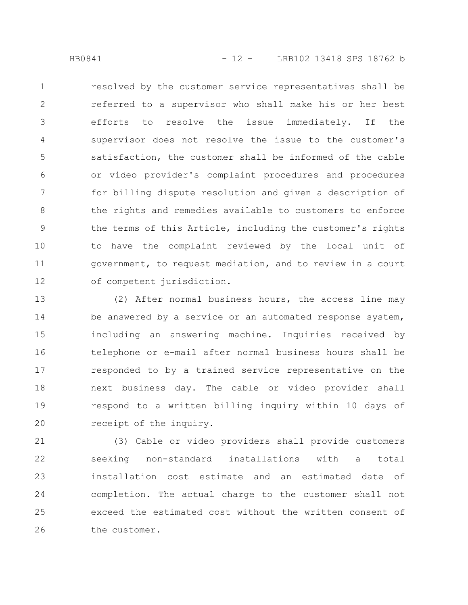resolved by the customer service representatives shall be referred to a supervisor who shall make his or her best efforts to resolve the issue immediately. If the supervisor does not resolve the issue to the customer's satisfaction, the customer shall be informed of the cable or video provider's complaint procedures and procedures for billing dispute resolution and given a description of the rights and remedies available to customers to enforce the terms of this Article, including the customer's rights to have the complaint reviewed by the local unit of government, to request mediation, and to review in a court of competent jurisdiction. 1 2 3 4 5 6 7 8 9 10 11 12

(2) After normal business hours, the access line may be answered by a service or an automated response system, including an answering machine. Inquiries received by telephone or e-mail after normal business hours shall be responded to by a trained service representative on the next business day. The cable or video provider shall respond to a written billing inquiry within 10 days of receipt of the inquiry. 13 14 15 16 17 18 19 20

(3) Cable or video providers shall provide customers seeking non-standard installations with a total installation cost estimate and an estimated date of completion. The actual charge to the customer shall not exceed the estimated cost without the written consent of the customer. 21 22 23 24 25 26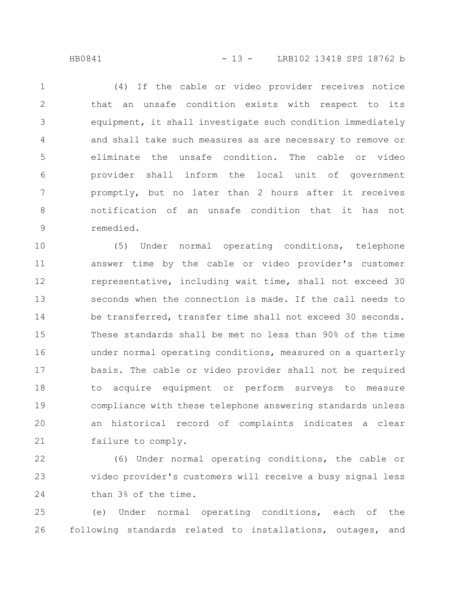(4) If the cable or video provider receives notice that an unsafe condition exists with respect to its equipment, it shall investigate such condition immediately and shall take such measures as are necessary to remove or eliminate the unsafe condition. The cable or video provider shall inform the local unit of government promptly, but no later than 2 hours after it receives notification of an unsafe condition that it has not remedied. 1 2 3 4 5 6 7 8 9

(5) Under normal operating conditions, telephone answer time by the cable or video provider's customer representative, including wait time, shall not exceed 30 seconds when the connection is made. If the call needs to be transferred, transfer time shall not exceed 30 seconds. These standards shall be met no less than 90% of the time under normal operating conditions, measured on a quarterly basis. The cable or video provider shall not be required to acquire equipment or perform surveys to measure compliance with these telephone answering standards unless an historical record of complaints indicates a clear failure to comply. 10 11 12 13 14 15 16 17 18 19 20 21

(6) Under normal operating conditions, the cable or video provider's customers will receive a busy signal less than 3% of the time. 22 23 24

(e) Under normal operating conditions, each of the following standards related to installations, outages, and 25 26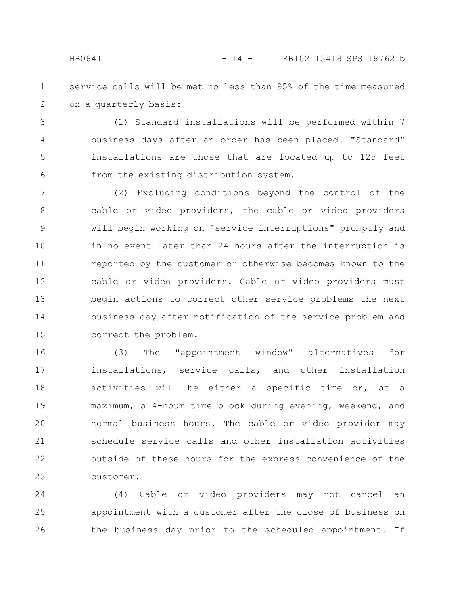service calls will be met no less than 95% of the time measured on a quarterly basis: 1 2

(1) Standard installations will be performed within 7 business days after an order has been placed. "Standard" installations are those that are located up to 125 feet from the existing distribution system. 3 4 5 6

(2) Excluding conditions beyond the control of the cable or video providers, the cable or video providers will begin working on "service interruptions" promptly and in no event later than 24 hours after the interruption is reported by the customer or otherwise becomes known to the cable or video providers. Cable or video providers must begin actions to correct other service problems the next business day after notification of the service problem and correct the problem. 7 8 9 10 11 12 13 14 15

(3) The "appointment window" alternatives for installations, service calls, and other installation activities will be either a specific time or, at a maximum, a 4-hour time block during evening, weekend, and normal business hours. The cable or video provider may schedule service calls and other installation activities outside of these hours for the express convenience of the customer. 16 17 18 19 20 21 22 23

(4) Cable or video providers may not cancel an appointment with a customer after the close of business on the business day prior to the scheduled appointment. If 24 25 26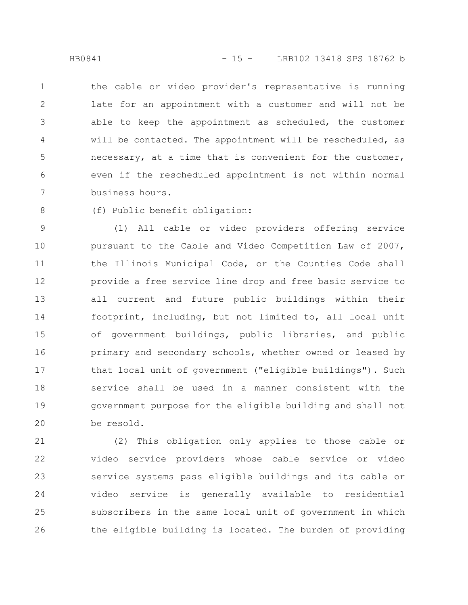the cable or video provider's representative is running late for an appointment with a customer and will not be able to keep the appointment as scheduled, the customer will be contacted. The appointment will be rescheduled, as necessary, at a time that is convenient for the customer, even if the rescheduled appointment is not within normal business hours. 1 2 3 4 5 6 7

(f) Public benefit obligation: 8

(1) All cable or video providers offering service pursuant to the Cable and Video Competition Law of 2007, the Illinois Municipal Code, or the Counties Code shall provide a free service line drop and free basic service to all current and future public buildings within their footprint, including, but not limited to, all local unit of government buildings, public libraries, and public primary and secondary schools, whether owned or leased by that local unit of government ("eligible buildings"). Such service shall be used in a manner consistent with the government purpose for the eligible building and shall not be resold. 9 10 11 12 13 14 15 16 17 18 19 20

(2) This obligation only applies to those cable or video service providers whose cable service or video service systems pass eligible buildings and its cable or video service is generally available to residential subscribers in the same local unit of government in which the eligible building is located. The burden of providing 21 22 23 24 25 26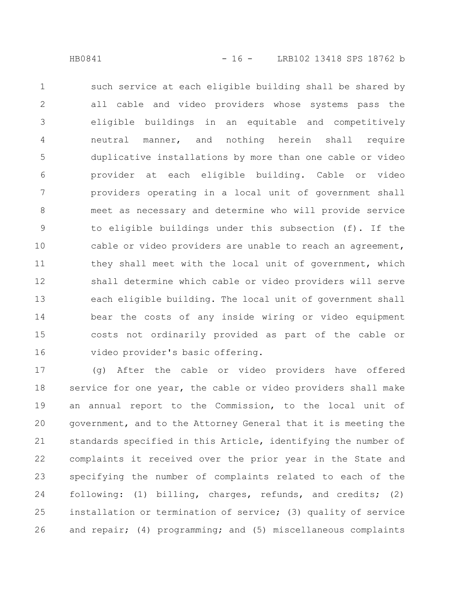such service at each eligible building shall be shared by all cable and video providers whose systems pass the eligible buildings in an equitable and competitively neutral manner, and nothing herein shall require duplicative installations by more than one cable or video provider at each eligible building. Cable or video providers operating in a local unit of government shall meet as necessary and determine who will provide service to eligible buildings under this subsection (f). If the cable or video providers are unable to reach an agreement, they shall meet with the local unit of government, which shall determine which cable or video providers will serve each eligible building. The local unit of government shall bear the costs of any inside wiring or video equipment costs not ordinarily provided as part of the cable or video provider's basic offering. 1 2 3 4 5 6 7 8 9 10 11 12 13 14 15 16

(g) After the cable or video providers have offered service for one year, the cable or video providers shall make an annual report to the Commission, to the local unit of government, and to the Attorney General that it is meeting the standards specified in this Article, identifying the number of complaints it received over the prior year in the State and specifying the number of complaints related to each of the following: (1) billing, charges, refunds, and credits; (2) installation or termination of service; (3) quality of service and repair; (4) programming; and (5) miscellaneous complaints 17 18 19 20 21 22 23 24 25 26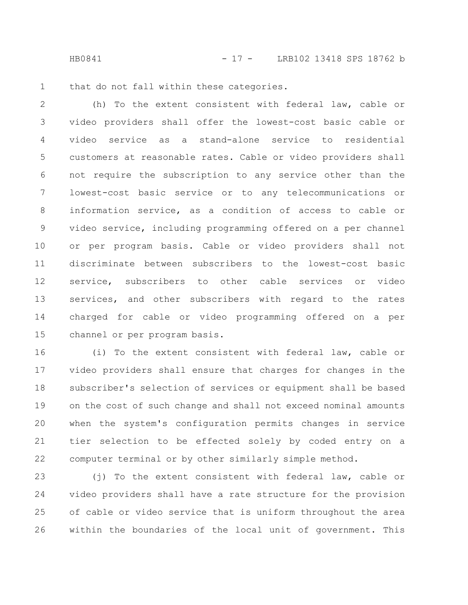HB0841 - 17 - LRB102 13418 SPS 18762 b

that do not fall within these categories. 1

(h) To the extent consistent with federal law, cable or video providers shall offer the lowest-cost basic cable or video service as a stand-alone service to residential customers at reasonable rates. Cable or video providers shall not require the subscription to any service other than the lowest-cost basic service or to any telecommunications or information service, as a condition of access to cable or video service, including programming offered on a per channel or per program basis. Cable or video providers shall not discriminate between subscribers to the lowest-cost basic service, subscribers to other cable services or video services, and other subscribers with regard to the rates charged for cable or video programming offered on a per channel or per program basis. 2 3 4 5 6 7 8 9 10 11 12 13 14 15

(i) To the extent consistent with federal law, cable or video providers shall ensure that charges for changes in the subscriber's selection of services or equipment shall be based on the cost of such change and shall not exceed nominal amounts when the system's configuration permits changes in service tier selection to be effected solely by coded entry on a computer terminal or by other similarly simple method. 16 17 18 19 20 21 22

(j) To the extent consistent with federal law, cable or video providers shall have a rate structure for the provision of cable or video service that is uniform throughout the area within the boundaries of the local unit of government. This 23 24 25 26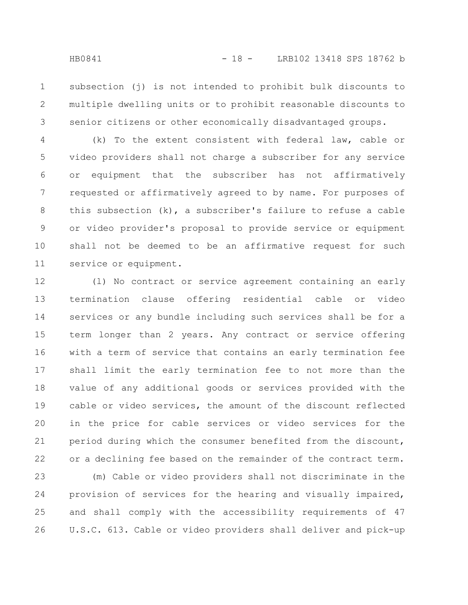subsection (j) is not intended to prohibit bulk discounts to multiple dwelling units or to prohibit reasonable discounts to senior citizens or other economically disadvantaged groups. 1 2 3

(k) To the extent consistent with federal law, cable or video providers shall not charge a subscriber for any service or equipment that the subscriber has not affirmatively requested or affirmatively agreed to by name. For purposes of this subsection (k), a subscriber's failure to refuse a cable or video provider's proposal to provide service or equipment shall not be deemed to be an affirmative request for such service or equipment. 4 5 6 7 8 9 10 11

(l) No contract or service agreement containing an early termination clause offering residential cable or video services or any bundle including such services shall be for a term longer than 2 years. Any contract or service offering with a term of service that contains an early termination fee shall limit the early termination fee to not more than the value of any additional goods or services provided with the cable or video services, the amount of the discount reflected in the price for cable services or video services for the period during which the consumer benefited from the discount, or a declining fee based on the remainder of the contract term. 12 13 14 15 16 17 18 19 20 21 22

(m) Cable or video providers shall not discriminate in the provision of services for the hearing and visually impaired, and shall comply with the accessibility requirements of 47 U.S.C. 613. Cable or video providers shall deliver and pick-up 23 24 25 26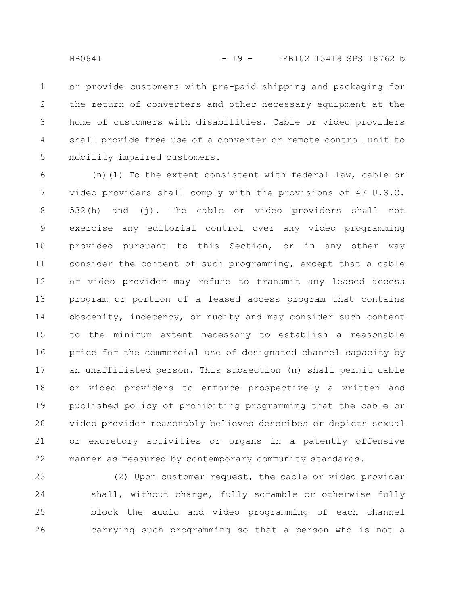or provide customers with pre-paid shipping and packaging for the return of converters and other necessary equipment at the home of customers with disabilities. Cable or video providers shall provide free use of a converter or remote control unit to mobility impaired customers. 1 2 3 4 5

(n)(1) To the extent consistent with federal law, cable or video providers shall comply with the provisions of 47 U.S.C. 532(h) and (j). The cable or video providers shall not exercise any editorial control over any video programming provided pursuant to this Section, or in any other way consider the content of such programming, except that a cable or video provider may refuse to transmit any leased access program or portion of a leased access program that contains obscenity, indecency, or nudity and may consider such content to the minimum extent necessary to establish a reasonable price for the commercial use of designated channel capacity by an unaffiliated person. This subsection (n) shall permit cable or video providers to enforce prospectively a written and published policy of prohibiting programming that the cable or video provider reasonably believes describes or depicts sexual or excretory activities or organs in a patently offensive manner as measured by contemporary community standards. 6 7 8 9 10 11 12 13 14 15 16 17 18 19 20 21 22

(2) Upon customer request, the cable or video provider shall, without charge, fully scramble or otherwise fully block the audio and video programming of each channel carrying such programming so that a person who is not a 23 24 25 26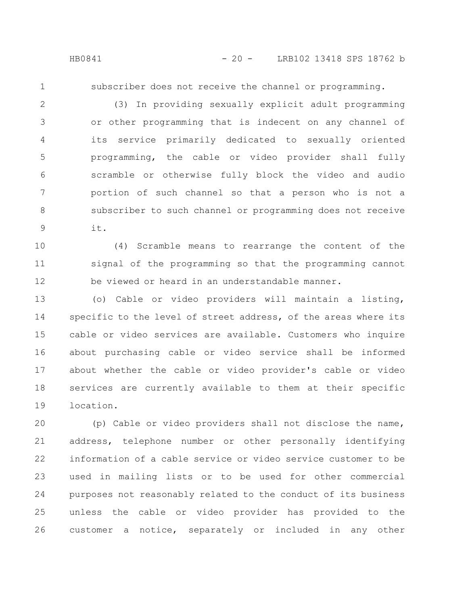1

subscriber does not receive the channel or programming.

(3) In providing sexually explicit adult programming or other programming that is indecent on any channel of its service primarily dedicated to sexually oriented programming, the cable or video provider shall fully scramble or otherwise fully block the video and audio portion of such channel so that a person who is not a subscriber to such channel or programming does not receive it. 2 3 4 5 6 7 8 9

(4) Scramble means to rearrange the content of the signal of the programming so that the programming cannot be viewed or heard in an understandable manner. 10 11 12

(o) Cable or video providers will maintain a listing, specific to the level of street address, of the areas where its cable or video services are available. Customers who inquire about purchasing cable or video service shall be informed about whether the cable or video provider's cable or video services are currently available to them at their specific location. 13 14 15 16 17 18 19

(p) Cable or video providers shall not disclose the name, address, telephone number or other personally identifying information of a cable service or video service customer to be used in mailing lists or to be used for other commercial purposes not reasonably related to the conduct of its business unless the cable or video provider has provided to the customer a notice, separately or included in any other 20 21 22 23 24 25 26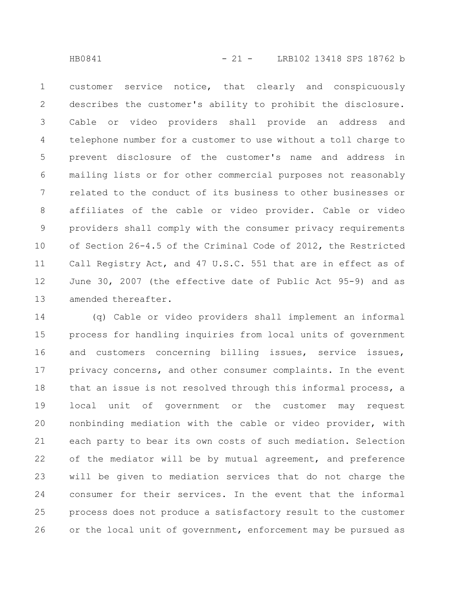customer service notice, that clearly and conspicuously describes the customer's ability to prohibit the disclosure. Cable or video providers shall provide an address and telephone number for a customer to use without a toll charge to prevent disclosure of the customer's name and address in mailing lists or for other commercial purposes not reasonably related to the conduct of its business to other businesses or affiliates of the cable or video provider. Cable or video providers shall comply with the consumer privacy requirements of Section 26-4.5 of the Criminal Code of 2012, the Restricted Call Registry Act, and 47 U.S.C. 551 that are in effect as of June 30, 2007 (the effective date of Public Act 95-9) and as amended thereafter. 1 2 3 4 5 6 7 8 9 10 11 12 13

(q) Cable or video providers shall implement an informal process for handling inquiries from local units of government and customers concerning billing issues, service issues, privacy concerns, and other consumer complaints. In the event that an issue is not resolved through this informal process, a local unit of government or the customer may request nonbinding mediation with the cable or video provider, with each party to bear its own costs of such mediation. Selection of the mediator will be by mutual agreement, and preference will be given to mediation services that do not charge the consumer for their services. In the event that the informal process does not produce a satisfactory result to the customer or the local unit of government, enforcement may be pursued as 14 15 16 17 18 19 20 21 22 23 24 25 26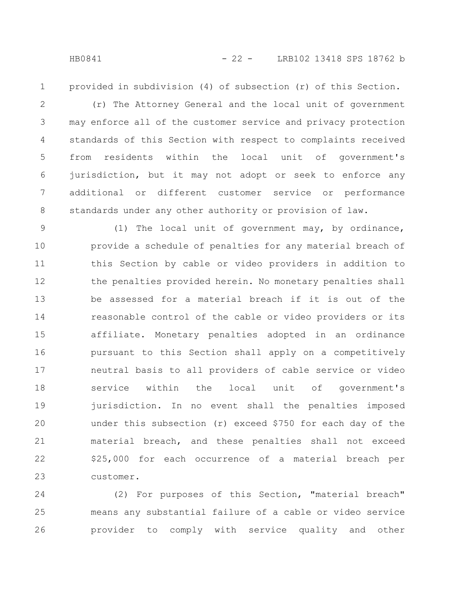1

provided in subdivision (4) of subsection (r) of this Section.

(r) The Attorney General and the local unit of government may enforce all of the customer service and privacy protection standards of this Section with respect to complaints received from residents within the local unit of government's jurisdiction, but it may not adopt or seek to enforce any additional or different customer service or performance standards under any other authority or provision of law. 2 3 4 5 6 7 8

(1) The local unit of government may, by ordinance, provide a schedule of penalties for any material breach of this Section by cable or video providers in addition to the penalties provided herein. No monetary penalties shall be assessed for a material breach if it is out of the reasonable control of the cable or video providers or its affiliate. Monetary penalties adopted in an ordinance pursuant to this Section shall apply on a competitively neutral basis to all providers of cable service or video service within the local unit of government's jurisdiction. In no event shall the penalties imposed under this subsection (r) exceed \$750 for each day of the material breach, and these penalties shall not exceed \$25,000 for each occurrence of a material breach per customer. 9 10 11 12 13 14 15 16 17 18 19 20 21 22 23

(2) For purposes of this Section, "material breach" means any substantial failure of a cable or video service provider to comply with service quality and other 24 25 26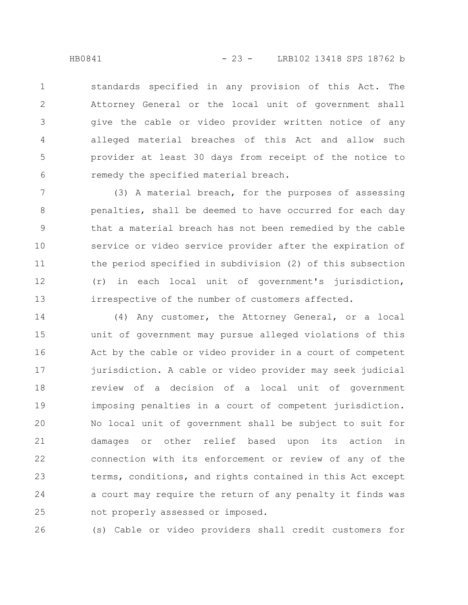standards specified in any provision of this Act. The Attorney General or the local unit of government shall give the cable or video provider written notice of any alleged material breaches of this Act and allow such provider at least 30 days from receipt of the notice to remedy the specified material breach. 1 2 3 4 5 6

(3) A material breach, for the purposes of assessing penalties, shall be deemed to have occurred for each day that a material breach has not been remedied by the cable service or video service provider after the expiration of the period specified in subdivision (2) of this subsection (r) in each local unit of government's jurisdiction, irrespective of the number of customers affected. 7 8 9 10 11 12 13

(4) Any customer, the Attorney General, or a local unit of government may pursue alleged violations of this Act by the cable or video provider in a court of competent jurisdiction. A cable or video provider may seek judicial review of a decision of a local unit of government imposing penalties in a court of competent jurisdiction. No local unit of government shall be subject to suit for damages or other relief based upon its action in connection with its enforcement or review of any of the terms, conditions, and rights contained in this Act except a court may require the return of any penalty it finds was not properly assessed or imposed. 14 15 16 17 18 19 20 21 22 23 24 25

(s) Cable or video providers shall credit customers for 26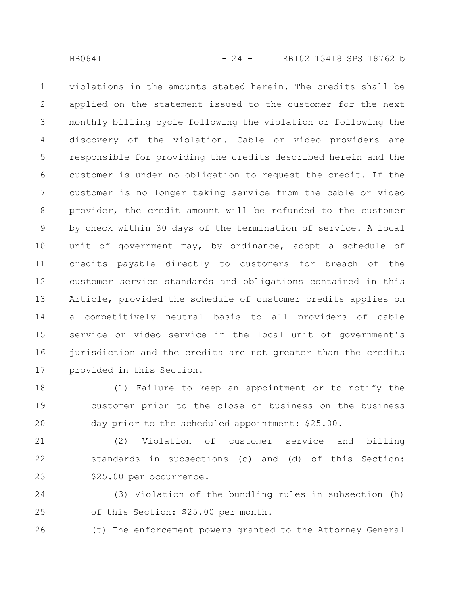violations in the amounts stated herein. The credits shall be applied on the statement issued to the customer for the next monthly billing cycle following the violation or following the discovery of the violation. Cable or video providers are responsible for providing the credits described herein and the customer is under no obligation to request the credit. If the customer is no longer taking service from the cable or video provider, the credit amount will be refunded to the customer by check within 30 days of the termination of service. A local unit of government may, by ordinance, adopt a schedule of credits payable directly to customers for breach of the customer service standards and obligations contained in this Article, provided the schedule of customer credits applies on a competitively neutral basis to all providers of cable service or video service in the local unit of government's jurisdiction and the credits are not greater than the credits provided in this Section. 1 2 3 4 5 6 7 8 9 10 11 12 13 14 15 16 17

(1) Failure to keep an appointment or to notify the customer prior to the close of business on the business day prior to the scheduled appointment: \$25.00. 18 19 20

(2) Violation of customer service and billing standards in subsections (c) and (d) of this Section: \$25.00 per occurrence. 21 22 23

(3) Violation of the bundling rules in subsection (h) of this Section: \$25.00 per month. 24 25

(t) The enforcement powers granted to the Attorney General 26